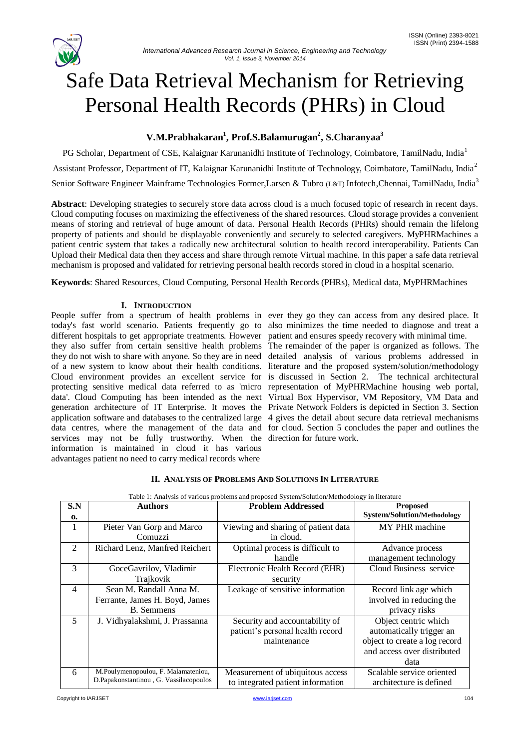# Safe Data Retrieval Mechanism for Retrieving Personal Health Records (PHRs) in Cloud

## **V.M.Prabhakaran<sup>1</sup> , Prof.S.Balamurugan<sup>2</sup> , S.Charanyaa<sup>3</sup>**

PG Scholar, Department of CSE, Kalaignar Karunanidhi Institute of Technology, Coimbatore, TamilNadu, India<sup>1</sup> Assistant Professor, Department of IT, Kalaignar Karunanidhi Institute of Technology, Coimbatore, TamilNadu, India<sup>2</sup> Senior Software Engineer Mainframe Technologies Former, Larsen & Tubro (L&T) Infotech, Chennai, TamilNadu, India<sup>3</sup>

**Abstract**: Developing strategies to securely store data across cloud is a much focused topic of research in recent days. Cloud computing focuses on maximizing the effectiveness of the shared resources. Cloud storage provides a convenient means of storing and retrieval of huge amount of data. Personal Health Records (PHRs) should remain the lifelong property of patients and should be displayable conveniently and securely to selected caregivers. MyPHRMachines a patient centric system that takes a radically new architectural solution to health record interoperability. Patients Can Upload their Medical data then they access and share through remote Virtual machine. In this paper a safe data retrieval mechanism is proposed and validated for retrieving personal health records stored in cloud in a hospital scenario.

**Keywords**: Shared Resources, Cloud Computing, Personal Health Records (PHRs), Medical data, MyPHRMachines

### **I. INTRODUCTION**

People suffer from a spectrum of health problems in ever they go they can access from any desired place. It today's fast world scenario. Patients frequently go to also minimizes the time needed to diagnose and treat a different hospitals to get appropriate treatments. However patient and ensures speedy recovery with minimal time. they also suffer from certain sensitive health problems The remainder of the paper is organized as follows. The they do not wish to share with anyone. So they are in need detailed analysis of various problems addressed in of a new system to know about their health conditions. literature and the proposed system/solution/methodology Cloud environment provides an excellent service for is discussed in Section 2. The technical architectural protecting sensitive medical data referred to as 'micro representation of MyPHRMachine housing web portal, data'. Cloud Computing has been intended as the next Virtual Box Hypervisor, VM Repository, VM Data and generation architecture of IT Enterprise. It moves the Private Network Folders is depicted in Section 3. Section application software and databases to the centralized large 4 gives the detail about secure data retrieval mechanisms data centres, where the management of the data and for cloud. Section 5 concludes the paper and outlines the services may not be fully trustworthy. When the direction for future work. information is maintained in cloud it has various advantages patient no need to carry medical records where

|  |  | <b>II. ANALYSIS OF PROBLEMS AND SOLUTIONS IN LITERATURE</b> |  |  |
|--|--|-------------------------------------------------------------|--|--|
|--|--|-------------------------------------------------------------|--|--|

| S.N<br>$\mathbf{0}$ | <b>Authors</b>                                                                 | <b>Problem Addressed</b>                                                          | <b>Proposed</b><br><b>System/Solution/Methodology</b>                                                                    |
|---------------------|--------------------------------------------------------------------------------|-----------------------------------------------------------------------------------|--------------------------------------------------------------------------------------------------------------------------|
| -1                  | Pieter Van Gorp and Marco<br>Comuzzi                                           | Viewing and sharing of patient data<br>in cloud.                                  | MY PHR machine                                                                                                           |
| $\mathfrak{D}$      | Richard Lenz, Manfred Reichert                                                 | Optimal process is difficult to<br>handle                                         | Advance process<br>management technology                                                                                 |
| 3                   | GoceGavrilov, Vladimir<br>Trajkovik                                            | Electronic Health Record (EHR)<br>security                                        | Cloud Business service                                                                                                   |
| $\overline{4}$      | Sean M. Randall Anna M.<br>Ferrante, James H. Boyd, James<br><b>B.</b> Semmens | Leakage of sensitive information                                                  | Record link age which<br>involved in reducing the<br>privacy risks                                                       |
| 5                   | J. Vidhyalakshmi, J. Prassanna                                                 | Security and accountability of<br>patient's personal health record<br>maintenance | Object centric which<br>automatically trigger an<br>object to create a log record<br>and access over distributed<br>data |
| 6                   | M.Poulymenopoulou, F. Malamateniou,<br>D.Papakonstantinou, G. Vassilacopoulos  | Measurement of ubiquitous access<br>to integrated patient information             | Scalable service oriented<br>architecture is defined                                                                     |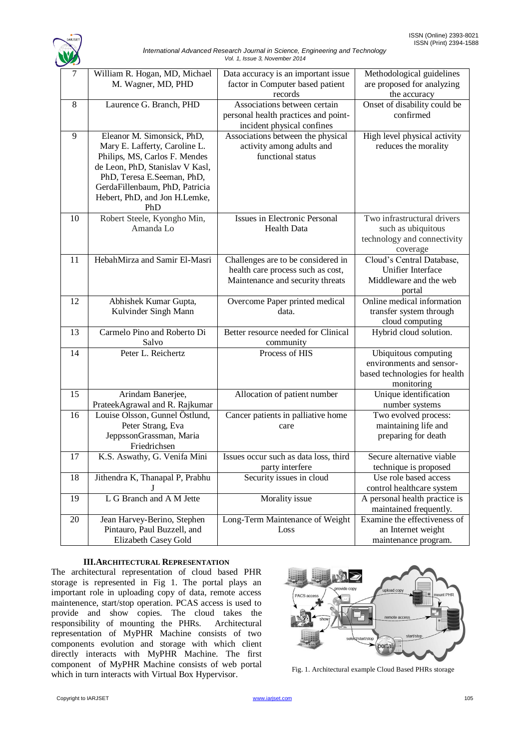

| International Advanced Research Journal in Science, Engineering and Technology |  |  |  |  |  |
|--------------------------------------------------------------------------------|--|--|--|--|--|
| Vol. 1, Issue 3, November 2014                                                 |  |  |  |  |  |

| $\tau$         | William R. Hogan, MD, Michael<br>M. Wagner, MD, PHD                                                                                                                                                                                     | Data accuracy is an important issue<br>factor in Computer based patient<br>records                          | Methodological guidelines<br>are proposed for analyzing<br>the accuracy                         |
|----------------|-----------------------------------------------------------------------------------------------------------------------------------------------------------------------------------------------------------------------------------------|-------------------------------------------------------------------------------------------------------------|-------------------------------------------------------------------------------------------------|
| 8              | Laurence G. Branch, PHD                                                                                                                                                                                                                 | Associations between certain<br>personal health practices and point-<br>incident physical confines          | Onset of disability could be<br>confirmed                                                       |
| $\overline{9}$ | Eleanor M. Simonsick, PhD,<br>Mary E. Lafferty, Caroline L.<br>Philips, MS, Carlos F. Mendes<br>de Leon, PhD, Stanislav V Kasl,<br>PhD, Teresa E.Seeman, PhD,<br>GerdaFillenbaum, PhD, Patricia<br>Hebert, PhD, and Jon H.Lemke,<br>PhD | Associations between the physical<br>activity among adults and<br>functional status                         | High level physical activity<br>reduces the morality                                            |
| 10             | Robert Steele, Kyongho Min,<br>Amanda Lo                                                                                                                                                                                                | <b>Issues in Electronic Personal</b><br><b>Health Data</b>                                                  | Two infrastructural drivers<br>such as ubiquitous<br>technology and connectivity<br>coverage    |
| 11             | HebahMirza and Samir El-Masri                                                                                                                                                                                                           | Challenges are to be considered in<br>health care process such as cost,<br>Maintenance and security threats | Cloud's Central Database,<br><b>Unifier Interface</b><br>Middleware and the web<br>portal       |
| 12             | Abhishek Kumar Gupta,<br>Kulvinder Singh Mann                                                                                                                                                                                           | Overcome Paper printed medical<br>data.                                                                     | Online medical information<br>transfer system through<br>cloud computing                        |
| 13             | Carmelo Pino and Roberto Di<br>Salvo                                                                                                                                                                                                    | Better resource needed for Clinical<br>community                                                            | Hybrid cloud solution.                                                                          |
| 14             | Peter L. Reichertz                                                                                                                                                                                                                      | Process of HIS                                                                                              | Ubiquitous computing<br>environments and sensor-<br>based technologies for health<br>monitoring |
| 15             | Arindam Banerjee,<br>PrateekAgrawal and R. Rajkumar                                                                                                                                                                                     | Allocation of patient number                                                                                | Unique identification<br>number systems                                                         |
| 16             | Louise Olsson, Gunnel Östlund,<br>Peter Strang, Eva<br>JeppssonGrassman, Maria<br>Friedrichsen                                                                                                                                          | Cancer patients in palliative home<br>care                                                                  | Two evolved process:<br>maintaining life and<br>preparing for death                             |
| 17             | K.S. Aswathy, G. Venifa Mini                                                                                                                                                                                                            | Issues occur such as data loss, third<br>party interfere                                                    | Secure alternative viable<br>technique is proposed                                              |
| 18             | Jithendra K, Thanapal P, Prabhu                                                                                                                                                                                                         | Security issues in cloud                                                                                    | Use role based access<br>control healthcare system                                              |
| 19             | L G Branch and A M Jette                                                                                                                                                                                                                | Morality issue                                                                                              | A personal health practice is<br>maintained frequently.                                         |
| 20             | Jean Harvey-Berino, Stephen<br>Pintauro, Paul Buzzell, and<br>Elizabeth Casey Gold                                                                                                                                                      | Long-Term Maintenance of Weight<br>Loss                                                                     | Examine the effectiveness of<br>an Internet weight<br>maintenance program.                      |

#### **III.ARCHITECTURAL REPRESENTATION**

The architectural representation of cloud based PHR storage is represented in Fig 1. The portal plays an important role in uploading copy of data, remote access maintenence, start/stop operation. PCAS access is used to provide and show copies. The cloud takes the responsibility of mounting the PHRs. Architectural representation of MyPHR Machine consists of two components evolution and storage with which client directly interacts with MyPHR Machine. The first component of MyPHR Machine consists of web portal component of MyPHK Machine Consists of web portal Fig. 1. Architectural example Cloud Based PHRs storage which in turn interacts with Virtual Box Hypervisor.

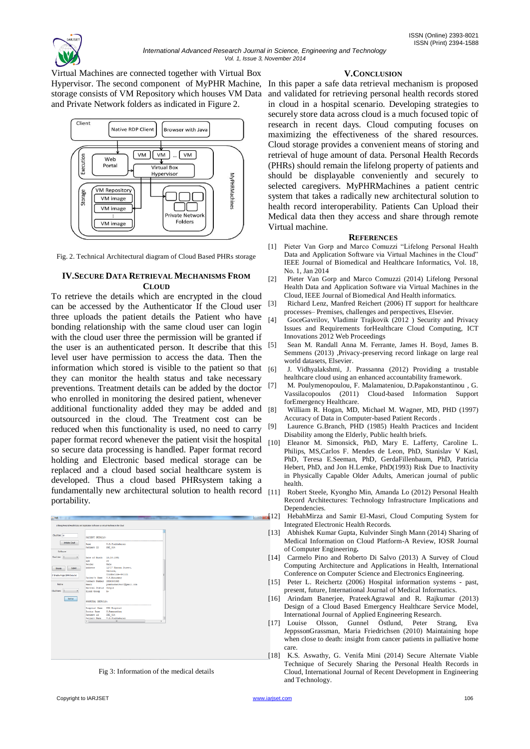

Virtual Machines are connected together with Virtual Box storage consists of VM Repository which houses VM Data and Private Network folders as indicated in Figure 2.



Fig. 2. Technical Architectural diagram of Cloud Based PHRs storage

#### **IV.SECURE DATA RETRIEVAL MECHANISMS FROM CLOUD**

To retrieve the details which are encrypted in the cloud can be accessed by the Authenticator If the Cloud user three uploads the patient details the Patient who have bonding relationship with the same cloud user can login with the cloud user three the permission will be granted if the user is an authenticated person. It describe that this level user have permission to access the data. Then the information which stored is visible to the patient so that [6] they can monitor the health status and take necessary preventions. Treatment details can be added by the doctor who enrolled in monitoring the desired patient, whenever additional functionality added they may be added and outsourced in the cloud. The Treatment cost can be reduced when this functionality is used, no need to carry paper format record whenever the patient visit the hospital so secure data processing is handled. Paper format record holding and Electronic based medical storage can be replaced and a cloud based social healthcare system is developed. Thus a cloud based PHRsystem taking a fundamentally new architectural solution to health record [11] Robert Steele, Kyongho Min, Amanda Lo (2012) Personal Health portability.



Fig 3: Information of the medical details

#### **V.CONCLUSION**

Hypervisor. The second component of MyPHR Machine, In this paper a safe data retrieval mechanism is proposed and validated for retrieving personal health records stored in cloud in a hospital scenario. Developing strategies to securely store data across cloud is a much focused topic of research in recent days. Cloud computing focuses on maximizing the effectiveness of the shared resources. Cloud storage provides a convenient means of storing and retrieval of huge amount of data. Personal Health Records (PHRs) should remain the lifelong property of patients and should be displayable conveniently and securely to selected caregivers. MyPHRMachines a patient centric system that takes a radically new architectural solution to health record interoperability. Patients Can Upload their Medical data then they access and share through remote Virtual machine.

#### **REFERENCES**

- [1] Pieter Van Gorp and Marco Comuzzi "Lifelong Personal Health Data and Application Software via Virtual Machines in the Cloud" IEEE Journal of Biomedical and Healthcare Informatics, Vol. 18, No. 1, Jan 2014
- [2] Pieter Van Gorp and Marco Comuzzi (2014) Lifelong Personal Health Data and Application Software via Virtual Machines in the Cloud, IEEE Journal of Biomedical And Health informatics.
- [3] Richard Lenz, Manfred Reichert (2006) IT support for healthcare processes– Premises, challenges and perspectives, Elsevier.
- [4] GoceGavrilov, Vladimir Trajkovik (2012 ) Security and Privacy Issues and Requirements forHealthcare Cloud Computing, ICT Innovations 2012 Web Proceedings
- Sean M. Randall Anna M. Ferrante, James H. Boyd, James B. Semmens (2013) ,Privacy-preserving record linkage on large real world datasets, Elsevier.
- J. Vidhyalakshmi, J. Prassanna (2012) Providing a trustable healthcare cloud using an enhanced accountability framework.
- [7] M. Poulymenopoulou, F. Malamateniou, D.Papakonstantinou , G. Vassilacopoulos (2011) Cloud-based Information Support forEmergency Healthcare.
- [8] William R. Hogan, MD, Michael M. Wagner, MD, PHD (1997) Accuracy of Data in Computer-based Patient Records .
- Laurence G.Branch, PHD (1985) Health Practices and Incident Disability among the Elderly, Public health briefs.
- [10] Eleanor M. Simonsick, PhD, Mary E. Lafferty, Caroline L. Philips, MS,Carlos F. Mendes de Leon, PhD, Stanislav V Kasl, PhD, Teresa E.Seeman, PhD, GerdaFillenbaum, PhD, Patricia Hebert, PhD, and Jon H.Lemke, PhD(1993) Risk Due to Inactivity in Physically Capable Older Adults, American journal of public health.
- Record Architectures: Technology Infrastructure Implications and Dependencies.
- [12] HebahMirza and Samir El-Masri, Cloud Computing System for Integrated Electronic Health Records.
- [13] Abhishek Kumar Gupta, Kulvinder Singh Mann (2014) Sharing of Medical Information on Cloud Platform-A Review, IOSR Journal of Computer Engineering**.**
- [14] Carmelo Pino and Roberto Di Salvo (2013) A Survey of Cloud Computing Architecture and Applications in Health, International Conference on Computer Science and Electronics Engineering.
- [15] Peter L. Reichertz (2006) Hospital information systems past, present, future, International Journal of Medical Informatics.
- [16] Arindam Banerjee, PrateekAgrawal and R. Rajkumar (2013) Design of a Cloud Based Emergency Healthcare Service Model, International Journal of Applied Engineering Research.
- [17] Louise Olsson, Gunnel Östlund, Peter Strang, Eva JeppssonGrassman, Maria Friedrichsen (2010) Maintaining hope when close to death: insight from cancer patients in palliative home care.
- [18] K.S. Aswathy, G. Venifa Mini (2014) Secure Alternate Viable Technique of Securely Sharing the Personal Health Records in Cloud, International Journal of Recent Development in Engineering and Technology.